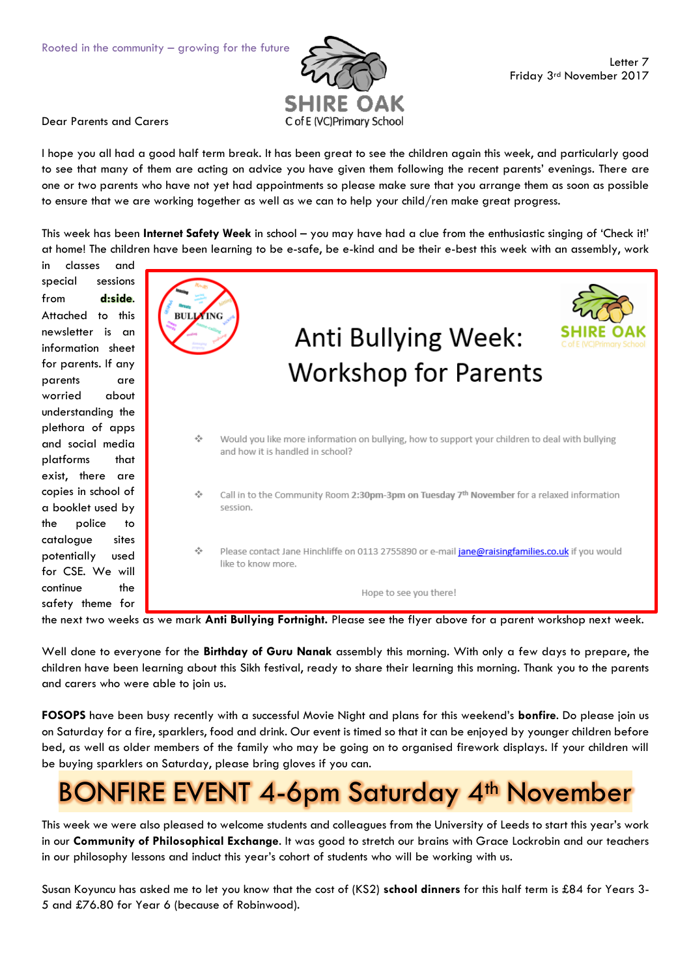

Dear Parents and Carers

I hope you all had a good half term break. It has been great to see the children again this week, and particularly good to see that many of them are acting on advice you have given them following the recent parents' evenings. There are one or two parents who have not yet had appointments so please make sure that you arrange them as soon as possible to ensure that we are working together as well as we can to help your child/ren make great progress.

This week has been **Internet Safety Week** in school – you may have had a clue from the enthusiastic singing of 'Check it!' at home! The children have been learning to be e-safe, be e-kind and be their e-best this week with an assembly, work

in classes and special sessions from **d:side**. Attached to this newsletter is an information sheet for parents. If any parents are worried about understanding the plethora of apps and social media platforms that exist, there are copies in school of a booklet used by the police to catalogue sites potentially used for CSE. We will continue the safety theme for



the next two weeks as we mark **Anti Bullying Fortnight.** Please see the flyer above for a parent workshop next week.

Well done to everyone for the **Birthday of Guru Nanak** assembly this morning. With only a few days to prepare, the children have been learning about this Sikh festival, ready to share their learning this morning. Thank you to the parents and carers who were able to join us.

**FOSOPS** have been busy recently with a successful Movie Night and plans for this weekend's **bonfire**. Do please join us on Saturday for a fire, sparklers, food and drink. Our event is timed so that it can be enjoyed by younger children before bed, as well as older members of the family who may be going on to organised firework displays. If your children will be buying sparklers on Saturday, please bring gloves if you can.

## **BONFIRE EVENT 4-6pm Saturday 4th November**

This week we were also pleased to welcome students and colleagues from the University of Leeds to start this year's work in our **Community of Philosophical Exchange**. It was good to stretch our brains with Grace Lockrobin and our teachers in our philosophy lessons and induct this year's cohort of students who will be working with us.

Susan Koyuncu has asked me to let you know that the cost of (KS2) **school dinners** for this half term is £84 for Years 3- 5 and £76.80 for Year 6 (because of Robinwood).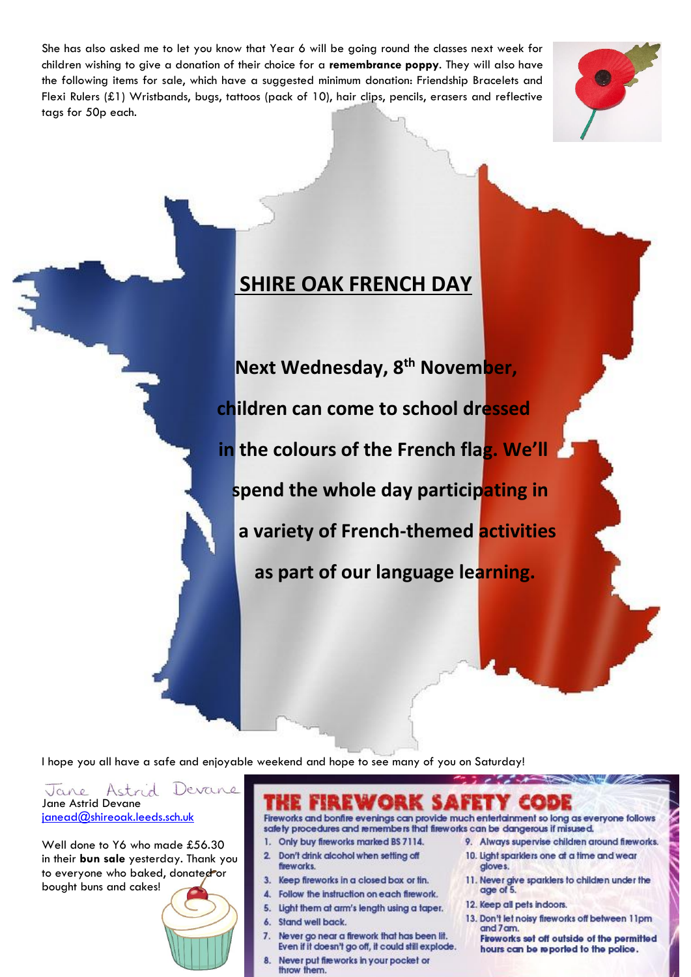She has also asked me to let you know that Year 6 will be going round the classes next week for children wishing to give a donation of their choice for a **remembrance poppy**. They will also have the following items for sale, which have a suggested minimum donation: Friendship Bracelets and Flexi Rulers (£1) Wristbands, bugs, tattoos (pack of 10), hair clips, pencils, erasers and reflective tags for 50p each.



## **SHIRE OAK FRENCH DAY**

 **Next Wednesday, 8th November, children can come to school dressed in the colours of the French flag. We'll spend the whole day participating in a variety of French-themed activities as part of our language learning.**

I hope you all have a safe and enjoyable weekend and hope to see many of you on Saturday!

Astrid Devane Jane Jane Astrid Devane [janead@shireoak.leeds.sch.uk](mailto:janead@shireoak.leeds.sch.uk)

Well done to Y6 who made £56.30 in their **bun sale** yesterday. Thank you to everyone who baked, donated or bought buns and cakes!



Fireworks and bonfire evenings can provide much entertainment so long as everyone follows safety procedures and remembers that fireworks can be dangerous if misused.

- 1. Only buy fireworks marked BS 7114.
- 2. Don't drink alcohol when setting off fireworks.
- 3. Keep fireworks in a closed box or fin.
- 4. Follow the instruction on each firework.
- 5. Light them at arm's length using a taper.
- 6. Stand well back.
- 7. Never go near a firework that has been lit. Even if it doesn't go off, it could still explode.
- Never put fire works in your pocket or throw them.
- 9. Always supervise children around fireworks.
	- 10. Light sparklers one at a time and wear gloves.
	- 11. Never give sparklers to children under the age of 5.
	- 12. Keep all pets indoors.
	- 13. Don't let noisy fireworks off between 11pm and 7 am.
		- Fireworks set off outside of the permitted hours can be reported to the police.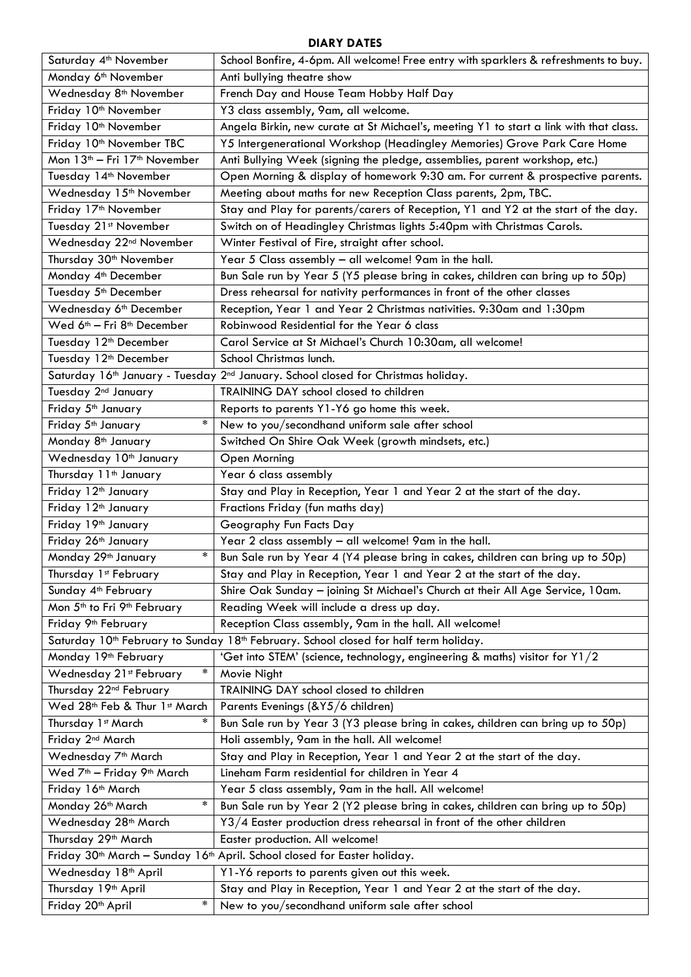## **DIARY DATES**

| Saturday 4 <sup>th</sup> November                    | School Bonfire, 4-6pm. All welcome! Free entry with sparklers & refreshments to buy.                         |
|------------------------------------------------------|--------------------------------------------------------------------------------------------------------------|
| Monday 6 <sup>th</sup> November                      | Anti bullying theatre show                                                                                   |
| Wednesday 8 <sup>th</sup> November                   | French Day and House Team Hobby Half Day                                                                     |
| Friday 10 <sup>th</sup> November                     | Y3 class assembly, 9am, all welcome.                                                                         |
| Friday 10 <sup>th</sup> November                     | Angela Birkin, new curate at St Michael's, meeting Y1 to start a link with that class.                       |
| Friday 10 <sup>th</sup> November TBC                 | Y5 Intergenerational Workshop (Headingley Memories) Grove Park Care Home                                     |
| Mon 13 <sup>th</sup> - Fri 17 <sup>th</sup> November | Anti Bullying Week (signing the pledge, assemblies, parent workshop, etc.)                                   |
| Tuesday 14 <sup>th</sup> November                    | Open Morning & display of homework 9:30 am. For current & prospective parents.                               |
| Wednesday 15 <sup>th</sup> November                  | Meeting about maths for new Reception Class parents, 2pm, TBC.                                               |
| Friday 17 <sup>th</sup> November                     | Stay and Play for parents/carers of Reception, Y1 and Y2 at the start of the day.                            |
| Tuesday 21st November                                | Switch on of Headingley Christmas lights 5:40pm with Christmas Carols.                                       |
| Wednesday 22 <sup>nd</sup> November                  | Winter Festival of Fire, straight after school.                                                              |
| Thursday 30 <sup>th</sup> November                   | Year 5 Class assembly - all welcome! 9am in the hall.                                                        |
| Monday 4 <sup>th</sup> December                      | Bun Sale run by Year 5 (Y5 please bring in cakes, children can bring up to 50p)                              |
| Tuesday 5 <sup>th</sup> December                     | Dress rehearsal for nativity performances in front of the other classes                                      |
| Wednesday 6 <sup>th</sup> December                   | Reception, Year 1 and Year 2 Christmas nativities. 9:30am and 1:30pm                                         |
| Wed 6 <sup>th</sup> - Fri 8 <sup>th</sup> December   | Robinwood Residential for the Year 6 class                                                                   |
| Tuesday 12 <sup>th</sup> December                    | Carol Service at St Michael's Church 10:30am, all welcome!                                                   |
| Tuesday 12 <sup>th</sup> December                    | School Christmas lunch.                                                                                      |
|                                                      | Saturday 16 <sup>th</sup> January - Tuesday 2 <sup>nd</sup> January. School closed for Christmas holiday.    |
| Tuesday 2 <sup>nd</sup> January                      | TRAINING DAY school closed to children                                                                       |
| Friday 5 <sup>th</sup> January                       | Reports to parents Y1-Y6 go home this week.                                                                  |
| $\ast$<br>Friday 5 <sup>th</sup> January             | New to you/secondhand uniform sale after school                                                              |
| Monday 8 <sup>th</sup> January                       | Switched On Shire Oak Week (growth mindsets, etc.)                                                           |
| Wednesday 10 <sup>th</sup> January                   | Open Morning                                                                                                 |
| Thursday 11 <sup>th</sup> January                    | Year 6 class assembly                                                                                        |
| Friday 12 <sup>th</sup> January                      | Stay and Play in Reception, Year 1 and Year 2 at the start of the day.                                       |
| Friday 12 <sup>th</sup> January                      | Fractions Friday (fun maths day)                                                                             |
| Friday 19th January                                  | Geography Fun Facts Day                                                                                      |
| Friday 26 <sup>th</sup> January                      | Year 2 class assembly - all welcome! 9am in the hall.                                                        |
| $\ast$<br>Monday 29th January                        | Bun Sale run by Year 4 (Y4 please bring in cakes, children can bring up to 50p)                              |
| Thursday 1st February                                | Stay and Play in Reception, Year 1 and Year 2 at the start of the day.                                       |
| Sunday 4 <sup>th</sup> February                      | Shire Oak Sunday - joining St Michael's Church at their All Age Service, 10am.                               |
| Mon 5 <sup>th</sup> to Fri 9 <sup>th</sup> February  | Reading Week will include a dress up day.                                                                    |
| Friday 9 <sup>th</sup> February                      | Reception Class assembly, 9am in the hall. All welcome!                                                      |
|                                                      | Saturday 10 <sup>th</sup> February to Sunday 18 <sup>th</sup> February. School closed for half term holiday. |
| Monday 19 <sup>th</sup> February                     | 'Get into STEM' (science, technology, engineering & maths) visitor for Y1/2                                  |
| $\ast$<br>Wednesday 21st February                    | Movie Night                                                                                                  |
| Thursday 22 <sup>nd</sup> February                   | TRAINING DAY school closed to children                                                                       |
| Wed 28th Feb & Thur 1st March                        | Parents Evenings (&Y5/6 children)                                                                            |
| $\ast$<br>Thursday 1st March                         | Bun Sale run by Year 3 (Y3 please bring in cakes, children can bring up to 50p)                              |
| Friday 2 <sup>nd</sup> March                         | Holi assembly, 9am in the hall. All welcome!                                                                 |
| Wednesday 7 <sup>th</sup> March                      | Stay and Play in Reception, Year 1 and Year 2 at the start of the day.                                       |
| Wed 7 <sup>th</sup> - Friday 9 <sup>th</sup> March   | Lineham Farm residential for children in Year 4                                                              |
| Friday 16 <sup>th</sup> March                        | Year 5 class assembly, 9am in the hall. All welcome!                                                         |
| $\ast$<br>Monday 26 <sup>th</sup> March              | Bun Sale run by Year 2 (Y2 please bring in cakes, children can bring up to 50p)                              |
| Wednesday 28 <sup>th</sup> March                     | Y3/4 Easter production dress rehearsal in front of the other children                                        |
| Thursday 29 <sup>th</sup> March                      | Easter production. All welcome!                                                                              |
|                                                      | Friday 30 <sup>th</sup> March - Sunday 16 <sup>th</sup> April. School closed for Easter holiday.             |
| Wednesday 18 <sup>th</sup> April                     | Y1-Y6 reports to parents given out this week.                                                                |
| Thursday 19 <sup>th</sup> April                      | Stay and Play in Reception, Year 1 and Year 2 at the start of the day.                                       |
| $\ast$<br>Friday 20 <sup>th</sup> April              | New to you/secondhand uniform sale after school                                                              |